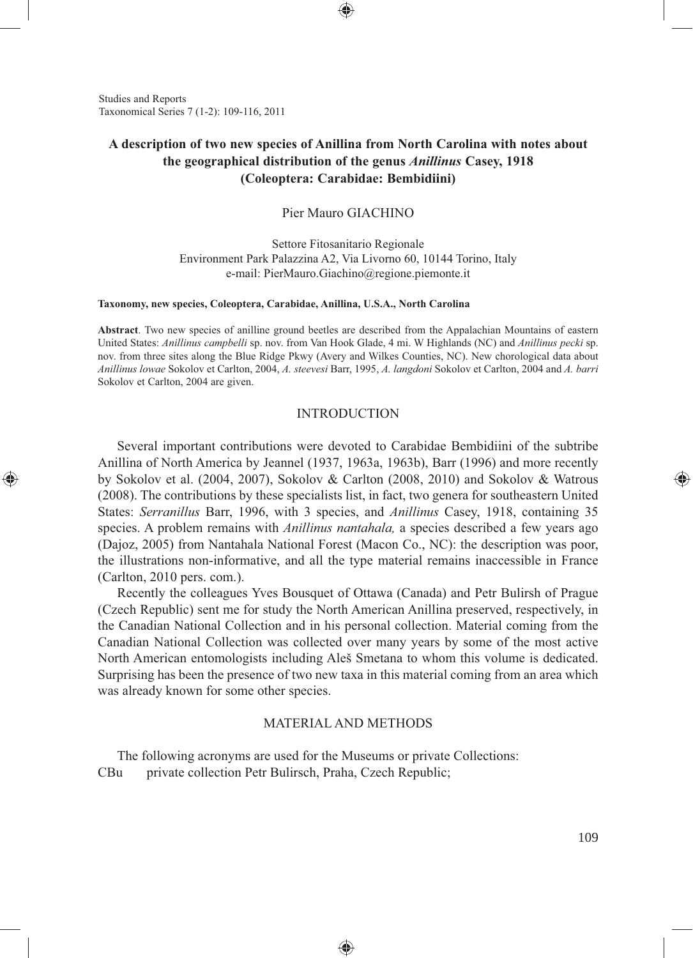Studies and Reports Taxonomical Series 7 (1-2): 109-116, 2011

⊕

# **A description of two new species of Anillina from North Carolina with notes about the geographical distribution of the genus** *Anillinus* **Casey, 1918 (Coleoptera: Carabidae: Bembidiini)**

## Pier Mauro GIACHINO

Settore Fitosanitario Regionale Environment Park Palazzina A2, Via Livorno 60, 10144 Torino, Italy e-mail: PierMauro.Giachino@regione.piemonte.it

#### **Taxonomy, new species, Coleoptera, Carabidae, Anillina, U.S.A., North Carolina**

**Abstract**. Two new species of anilline ground beetles are described from the Appalachian Mountains of eastern United States: *Anillinus campbelli* sp. nov. from Van Hook Glade, 4 mi. W Highlands (NC) and *Anillinus pecki* sp. nov. from three sites along the Blue Ridge Pkwy (Avery and Wilkes Counties, NC). New chorological data about *Anillinus lowae* Sokolov et Carlton, 2004, *A. steevesi* Barr, 1995, *A. langdoni* Sokolov et Carlton, 2004 and *A. barri* Sokolov et Carlton, 2004 are given.

## INTRODUCTION

Several important contributions were devoted to Carabidae Bembidiini of the subtribe Anillina of North America by Jeannel (1937, 1963a, 1963b), Barr (1996) and more recently by Sokolov et al. (2004, 2007), Sokolov & Carlton (2008, 2010) and Sokolov & Watrous (2008). The contributions by these specialists list, in fact, two genera for southeastern United States: *Serranillus* Barr, 1996, with 3 species, and *Anillinus* Casey, 1918, containing 35 species. A problem remains with *Anillinus nantahala,* a species described a few years ago (Dajoz, 2005) from Nantahala National Forest (Macon Co., NC): the description was poor, the illustrations non-informative, and all the type material remains inaccessible in France (Carlton, 2010 pers. com.).

Recently the colleagues Yves Bousquet of Ottawa (Canada) and Petr Bulirsh of Prague (Czech Republic) sent me for study the North American Anillina preserved, respectively, in the Canadian National Collection and in his personal collection. Material coming from the Canadian National Collection was collected over many years by some of the most active North American entomologists including Aleš Smetana to whom this volume is dedicated. Surprising has been the presence of two new taxa in this material coming from an area which was already known for some other species.

## MATERIAL AND METHODS

◈

The following acronyms are used for the Museums or private Collections: CBu private collection Petr Bulirsch, Praha, Czech Republic;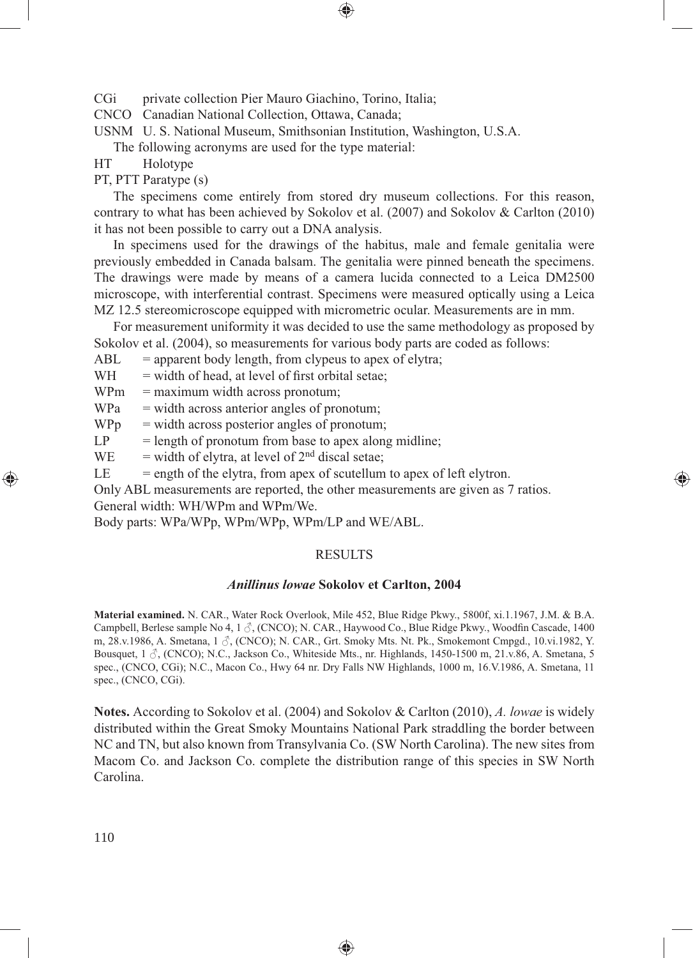CGi private collection Pier Mauro Giachino, Torino, Italia;

CNCO Canadian National Collection, Ottawa, Canada;

USNM U. S. National Museum, Smithsonian Institution, Washington, U.S.A.

The following acronyms are used for the type material:

HT Holotype

PT, PTT Paratype (s)

The specimens come entirely from stored dry museum collections. For this reason, contrary to what has been achieved by Sokolov et al. (2007) and Sokolov & Carlton (2010) it has not been possible to carry out a DNA analysis.

In specimens used for the drawings of the habitus, male and female genitalia were previously embedded in Canada balsam. The genitalia were pinned beneath the specimens. The drawings were made by means of a camera lucida connected to a Leica DM2500 microscope, with interferential contrast. Specimens were measured optically using a Leica MZ 12.5 stereomicroscope equipped with micrometric ocular. Measurements are in mm.

For measurement uniformity it was decided to use the same methodology as proposed by Sokolov et al. (2004), so measurements for various body parts are coded as follows:

 $ABL$  = apparent body length, from clypeus to apex of elytra;

 $WH = width of head, at level of first orbital setae;$ 

 $WPm =$  maximum width across pronotum;

 $WPa = width \, across \, anterior \, angles \, of \, pronotum;$ 

 $W P<sub>p</sub>$  = width across posterior angles of pronotum;

 $LP = length of$  pronotum from base to apex along midline;

WE = width of elytra, at level of  $2<sup>nd</sup>$  discal setae;

 $LE$  = ength of the elytra, from apex of scutellum to apex of left elytron.

Only ABL measurements are reported, the other measurements are given as 7 ratios. General width: WH/WPm and WPm/We.

Body parts: WPa/WPp, WPm/WPp, WPm/LP and WE/ABL.

#### RESULTS

⊕

#### *Anillinus lowae* **Sokolov et Carlton, 2004**

**Material examined.** N. CAR., Water Rock Overlook, Mile 452, Blue Ridge Pkwy., 5800f, xi.1.1967, J.M. & B.A. Campbell, Berlese sample No 4, 1  $\Diamond$ , (CNCO); N. CAR., Haywood Co., Blue Ridge Pkwy., Woodfin Cascade, 1400 m, 28.v.1986, A. Smetana,  $1 \text{ }\mathcal{J}$ , (CNCO); N. CAR., Grt. Smoky Mts. Nt. Pk., Smokemont Cmpgd., 10.vi.1982, Y. Bousquet,  $1 \land$ , (CNCO); N.C., Jackson Co., Whiteside Mts., nr. Highlands, 1450-1500 m, 21.v.86, A. Smetana, 5 spec., (CNCO, CGi); N.C., Macon Co., Hwy 64 nr. Dry Falls NW Highlands, 1000 m, 16.V.1986, A. Smetana, 11 spec., (CNCO, CGi).

**Notes.** According to Sokolov et al. (2004) and Sokolov & Carlton (2010), *A. lowae* is widely distributed within the Great Smoky Mountains National Park straddling the border between NC and TN, but also known from Transylvania Co. (SW North Carolina). The new sites from Macom Co. and Jackson Co. complete the distribution range of this species in SW North Carolina.

◈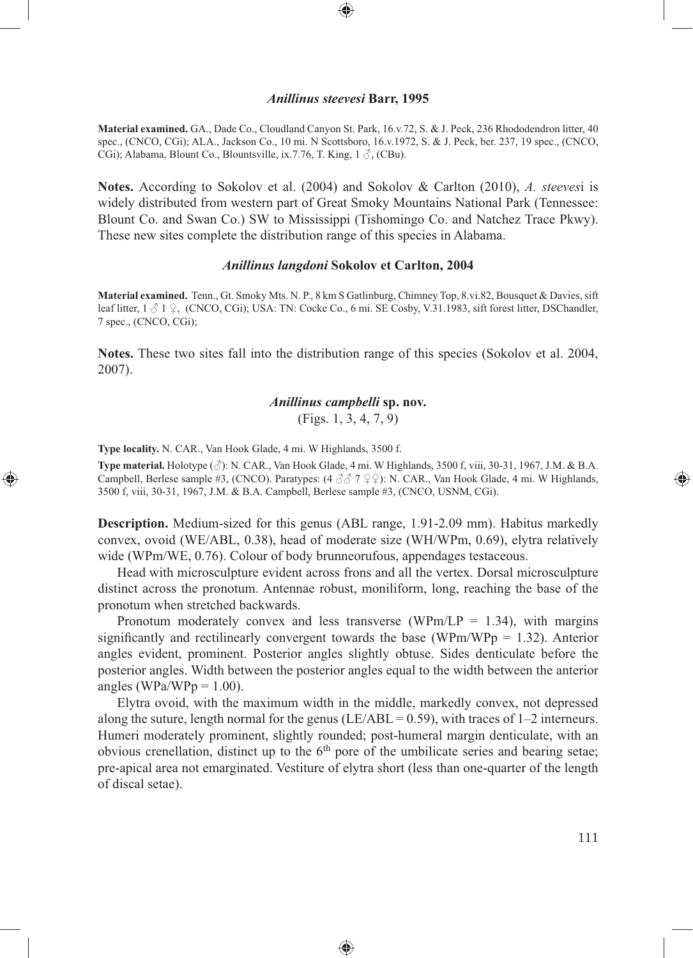### *Anillinus steevesi* **Barr, 1995**

⊕

**Material examined.** GA., Dade Co., Cloudland Canyon St. Park, 16.v.72, S. & J. Peck, 236 Rhododendron litter, 40 spec., (CNCO, CGi); ALA., Jackson Co., 10 mi. N Scottsboro, 16.v.1972, S. & J. Peck, ber. 237, 19 spec., (CNCO, CGi); Alabama, Blount Co., Blountsville, ix.7.76, T. King,  $1 \land$ , (CBu).

**Notes.** According to Sokolov et al. (2004) and Sokolov & Carlton (2010), *A. steeves*i is widely distributed from western part of Great Smoky Mountains National Park (Tennessee: Blount Co. and Swan Co.) SW to Mississippi (Tishomingo Co. and Natchez Trace Pkwy). These new sites complete the distribution range of this species in Alabama.

## *Anillinus langdoni* **Sokolov et Carlton, 2004**

**Material examined.** Tenn., Gt. Smoky Mts. N. P., 8 km S Gatlinburg, Chimney Top, 8.vi.82, Bousquet & Davies, sift leaf litter,  $1 \text{ } \textcircled{1}$   $\varphi$ , (CNCO, CGi); USA: TN: Cocke Co., 6 mi. SE Cosby, V.31.1983, sift forest litter, DSChandler, 7 spec., (CNCO, CGi);

**Notes.** These two sites fall into the distribution range of this species (Sokolov et al. 2004, 2007).

## *Anillinus campbelli* **sp. nov.**

(Figs. 1, 3, 4, 7, 9)

**Type locality.** N. CAR., Van Hook Glade, 4 mi. W Highlands, 3500 f.

⊕

**Type material.** Holotype  $(\text{A})$ : N. CAR., Van Hook Glade, 4 mi. W Highlands, 3500 f, viii, 30-31, 1967, J.M. & B.A. Campbell, Berlese sample #3, (CNCO). Paratypes:  $(4 \text{ } \frac{3}{2} \text{ } 7 \text{ } \frac{1}{2} \text{ } \frac{1}{2}$ ): N. CAR., Van Hook Glade, 4 mi. W Highlands, 3500 f, viii, 30-31, 1967, J.M. & B.A. Campbell, Berlese sample #3, (CNCO, USNM, CGi).

**Description.** Medium-sized for this genus (ABL range, 1.91-2.09 mm). Habitus markedly convex, ovoid (WE/ABL, 0.38), head of moderate size (WH/WPm, 0.69), elytra relatively wide (WPm/WE, 0.76). Colour of body brunneorufous, appendages testaceous.

Head with microsculpture evident across frons and all the vertex. Dorsal microsculpture distinct across the pronotum. Antennae robust, moniliform, long, reaching the base of the pronotum when stretched backwards.

Pronotum moderately convex and less transverse (WPm/LP = 1.34), with margins significantly and rectilinearly convergent towards the base (WPm/WPp  $= 1.32$ ). Anterior angles evident, prominent. Posterior angles slightly obtuse. Sides denticulate before the posterior angles. Width between the posterior angles equal to the width between the anterior angles (WPa/WPp =  $1.00$ ).

Elytra ovoid, with the maximum width in the middle, markedly convex, not depressed along the suture, length normal for the genus (LE/ABL =  $0.59$ ), with traces of 1–2 interneurs. Humeri moderately prominent, slightly rounded; post-humeral margin denticulate, with an obvious crenellation, distinct up to the  $6<sup>th</sup>$  pore of the umbilicate series and bearing setae; pre-apical area not emarginated. Vestiture of elytra short (less than one-quarter of the length of discal setae).

◈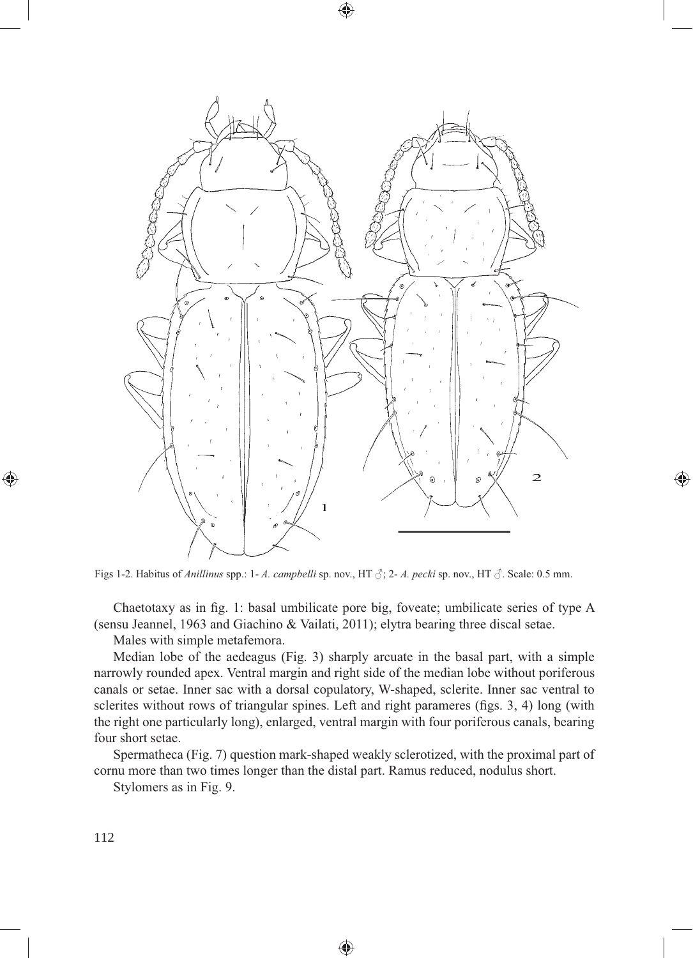

◈

 $\textcolor{red}{\textcircled{\footnotesize{1}}\ }$ 

Figs 1-2. Habitus of *Anillinus* spp.: 1- *A. campbelli* sp. nov., HT  $\beta$ ; 2- *A. pecki* sp. nov., HT  $\beta$ . Scale: 0.5 mm.

Chaetotaxy as in fig. 1: basal umbilicate pore big, foveate; umbilicate series of type A (sensu Jeannel, 1963 and Giachino & Vailati, 2011); elytra bearing three discal setae.

Males with simple metafemora.

Median lobe of the aedeagus (Fig. 3) sharply arcuate in the basal part, with a simple narrowly rounded apex. Ventral margin and right side of the median lobe without poriferous canals or setae. Inner sac with a dorsal copulatory, W-shaped, sclerite. Inner sac ventral to sclerites without rows of triangular spines. Left and right parameres (figs. 3, 4) long (with the right one particularly long), enlarged, ventral margin with four poriferous canals, bearing four short setae.

Spermatheca (Fig. 7) question mark-shaped weakly sclerotized, with the proximal part of cornu more than two times longer than the distal part. Ramus reduced, nodulus short.

Stylomers as in Fig. 9.

◈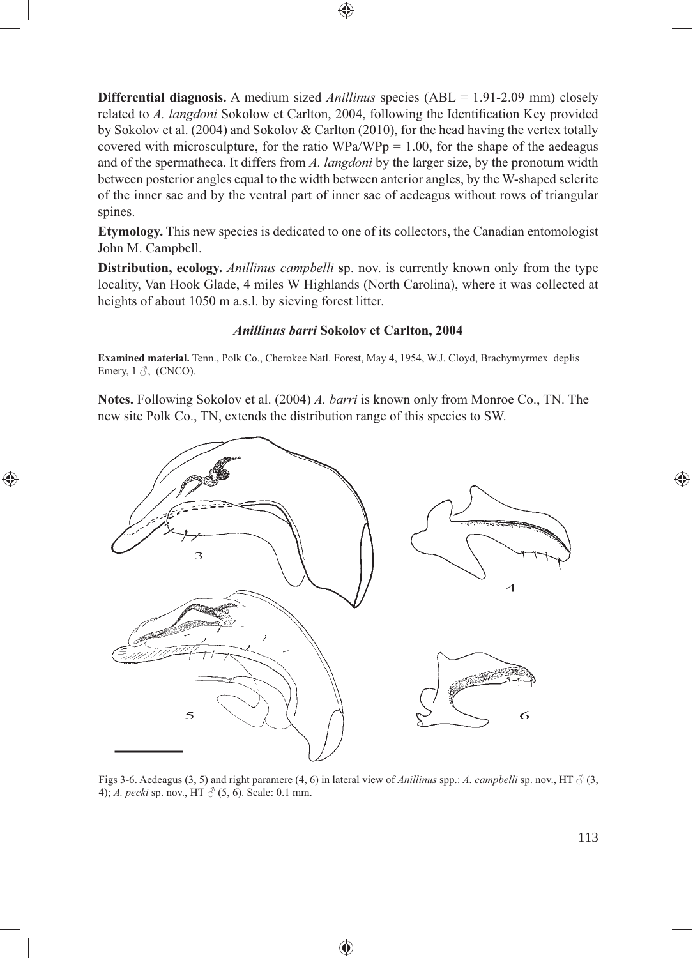**Differential diagnosis.** A medium sized *Anillinus* species (ABL = 1.91-2.09 mm) closely related to *A. langdoni* Sokolow et Carlton, 2004, following the Identification Key provided by Sokolov et al. (2004) and Sokolov & Carlton (2010), for the head having the vertex totally covered with microsculpture, for the ratio  $WPa/WPp = 1.00$ , for the shape of the aedeagus and of the spermatheca. It differs from *A. langdoni* by the larger size, by the pronotum width between posterior angles equal to the width between anterior angles, by the W-shaped sclerite of the inner sac and by the ventral part of inner sac of aedeagus without rows of triangular spines.

⊕

**Etymology.** This new species is dedicated to one of its collectors, the Canadian entomologist John M. Campbell.

**Distribution, ecology.** *Anillinus campbelli* **s**p. nov. is currently known only from the type locality, Van Hook Glade, 4 miles W Highlands (North Carolina), where it was collected at heights of about 1050 m a.s.l. by sieving forest litter.

## *Anillinus barri* **Sokolov et Carlton, 2004**

**Examined material.** Tenn., Polk Co., Cherokee Natl. Forest, May 4, 1954, W.J. Cloyd, Brachymyrmex deplis Emery,  $1 \text{ } \mathcal{S}$ , (CNCO).

**Notes.** Following Sokolov et al. (2004) *A. barri* is known only from Monroe Co., TN. The new site Polk Co., TN, extends the distribution range of this species to SW.

⊕



Figs 3-6. Aedeagus (3, 5) and right paramere (4, 6) in lateral view of *Anillinus* spp.: *A. campbelli* sp. nov., HT  $\beta$  (3, 4); *A. pecki* sp. nov., HT  $\circlearrowleft$  (5, 6). Scale: 0.1 mm.

⊕

113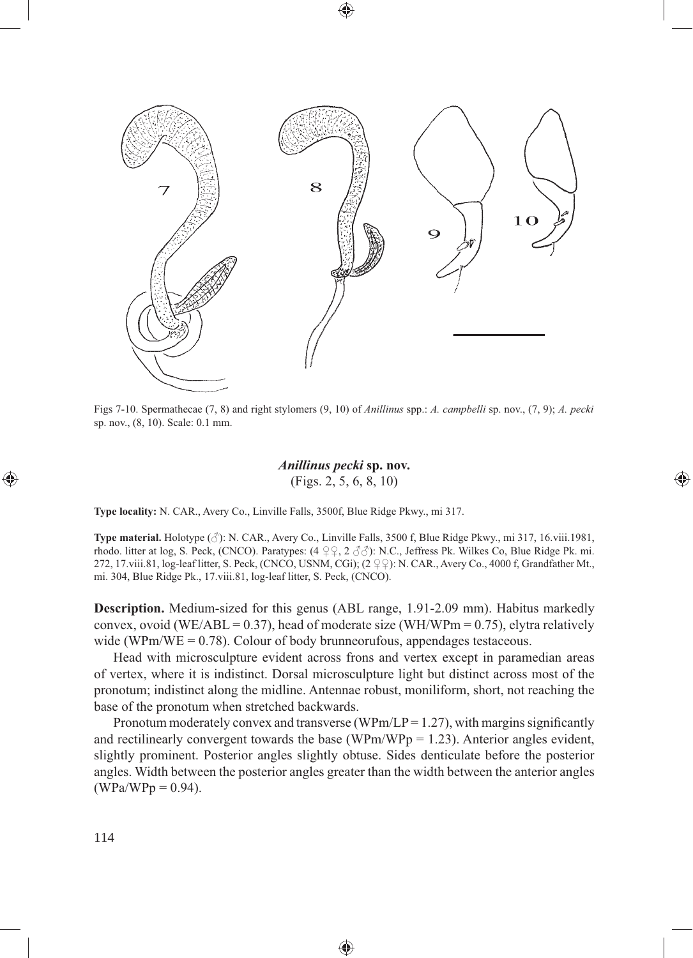

⊕

Figs 7-10. Spermathecae (7, 8) and right stylomers (9, 10) of *Anillinus* spp.: *A. campbelli* sp. nov., (7, 9); *A. pecki* sp. nov., (8, 10). Scale: 0.1 mm.

## *Anillinus pecki* **sp. nov.** (Figs. 2, 5, 6, 8, 10)

⊕

**Type locality:** N. CAR., Avery Co., Linville Falls, 3500f, Blue Ridge Pkwy., mi 317.

**Type material.** Holotype (♂): N. CAR., Avery Co., Linville Falls, 3500 f, Blue Ridge Pkwy., mi 317, 16.viii.1981, rhodo. litter at log, S. Peck, (CNCO). Paratypes: (4 ♀♀, 2 ♂♂): N.C., Jeffress Pk. Wilkes Co, Blue Ridge Pk. mi. 272, 17.viii.81, log-leaf litter, S. Peck, (CNCO, USNM, CGi); (2 ♀♀): N. CAR., Avery Co., 4000 f, Grandfather Mt., mi. 304, Blue Ridge Pk., 17.viii.81, log-leaf litter, S. Peck, (CNCO).

**Description.** Medium-sized for this genus (ABL range, 1.91-2.09 mm). Habitus markedly convex, ovoid (WE/ABL = 0.37), head of moderate size (WH/WPm = 0.75), elytra relatively wide (WPm/WE =  $0.78$ ). Colour of body brunneorufous, appendages testaceous.

Head with microsculpture evident across frons and vertex except in paramedian areas of vertex, where it is indistinct. Dorsal microsculpture light but distinct across most of the pronotum; indistinct along the midline. Antennae robust, moniliform, short, not reaching the base of the pronotum when stretched backwards.

Pronotum moderately convex and transverse (WPm/LP =  $1.27$ ), with margins significantly and rectilinearly convergent towards the base (WPm/WPp = 1.23). Anterior angles evident, slightly prominent. Posterior angles slightly obtuse. Sides denticulate before the posterior angles. Width between the posterior angles greater than the width between the anterior angles  $(WPa/WPp = 0.94)$ .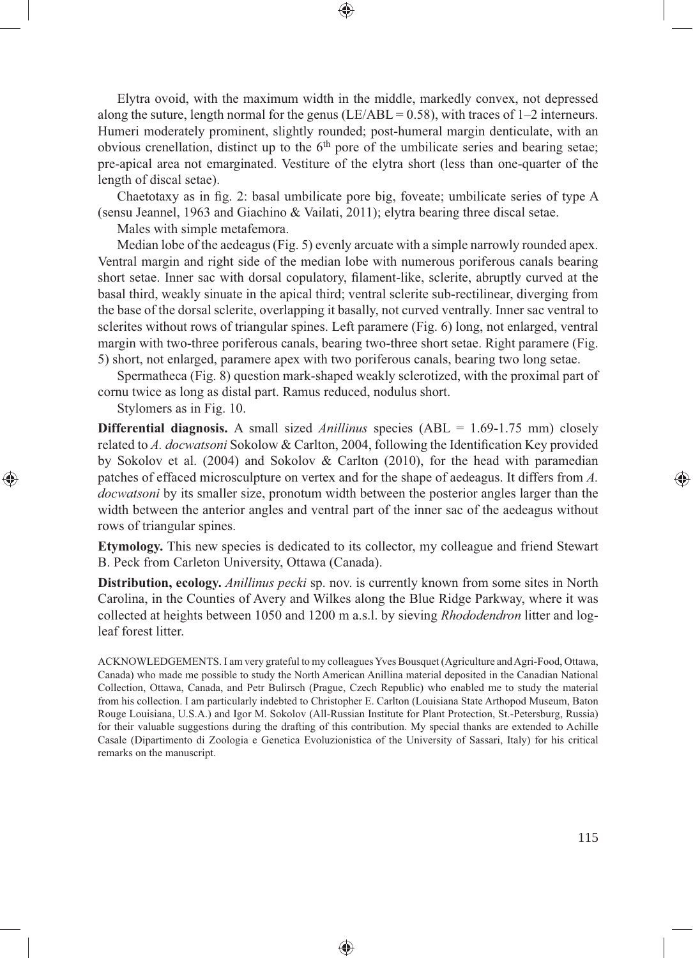Elytra ovoid, with the maximum width in the middle, markedly convex, not depressed along the suture, length normal for the genus (LE/ABL =  $0.58$ ), with traces of 1–2 interneurs. Humeri moderately prominent, slightly rounded; post-humeral margin denticulate, with an obvious crenellation, distinct up to the  $6<sup>th</sup>$  pore of the umbilicate series and bearing setae; pre-apical area not emarginated. Vestiture of the elytra short (less than one-quarter of the length of discal setae).

Chaetotaxy as in fig. 2: basal umbilicate pore big, foveate; umbilicate series of type A (sensu Jeannel, 1963 and Giachino & Vailati, 2011); elytra bearing three discal setae.

Males with simple metafemora.

Median lobe of the aedeagus (Fig. 5) evenly arcuate with a simple narrowly rounded apex. Ventral margin and right side of the median lobe with numerous poriferous canals bearing short setae. Inner sac with dorsal copulatory, filament-like, sclerite, abruptly curved at the basal third, weakly sinuate in the apical third; ventral sclerite sub-rectilinear, diverging from the base of the dorsal sclerite, overlapping it basally, not curved ventrally. Inner sac ventral to sclerites without rows of triangular spines. Left paramere (Fig. 6) long, not enlarged, ventral margin with two-three poriferous canals, bearing two-three short setae. Right paramere (Fig. 5) short, not enlarged, paramere apex with two poriferous canals, bearing two long setae.

Spermatheca (Fig. 8) question mark-shaped weakly sclerotized, with the proximal part of cornu twice as long as distal part. Ramus reduced, nodulus short.

Stylomers as in Fig. 10.

⊕

**Differential diagnosis.** A small sized *Anillinus* species (ABL = 1.69-1.75 mm) closely related to *A. docwatsoni* Sokolow & Carlton, 2004, following the Identification Key provided by Sokolov et al. (2004) and Sokolov & Carlton (2010), for the head with paramedian patches of effaced microsculpture on vertex and for the shape of aedeagus. It differs from *A. docwatsoni* by its smaller size, pronotum width between the posterior angles larger than the width between the anterior angles and ventral part of the inner sac of the aedeagus without rows of triangular spines.

**Etymology.** This new species is dedicated to its collector, my colleague and friend Stewart B. Peck from Carleton University, Ottawa (Canada).

**Distribution, ecology.** *Anillinus pecki* sp. nov. is currently known from some sites in North Carolina, in the Counties of Avery and Wilkes along the Blue Ridge Parkway, where it was collected at heights between 1050 and 1200 m a.s.l. by sieving *Rhododendron* litter and logleaf forest litter.

ACKNOWLEDGEMENTS. I am very grateful to my colleagues Yves Bousquet (Agriculture and Agri-Food, Ottawa, Canada) who made me possible to study the North American Anillina material deposited in the Canadian National Collection, Ottawa, Canada, and Petr Bulirsch (Prague, Czech Republic) who enabled me to study the material from his collection. I am particularly indebted to Christopher E. Carlton (Louisiana State Arthopod Museum, Baton Rouge Louisiana, U.S.A.) and Igor M. Sokolov (All-Russian Institute for Plant Protection, St.-Petersburg, Russia) for their valuable suggestions during the drafting of this contribution. My special thanks are extended to Achille Casale (Dipartimento di Zoologia e Genetica Evoluzionistica of the University of Sassari, Italy) for his critical remarks on the manuscript.

⊕